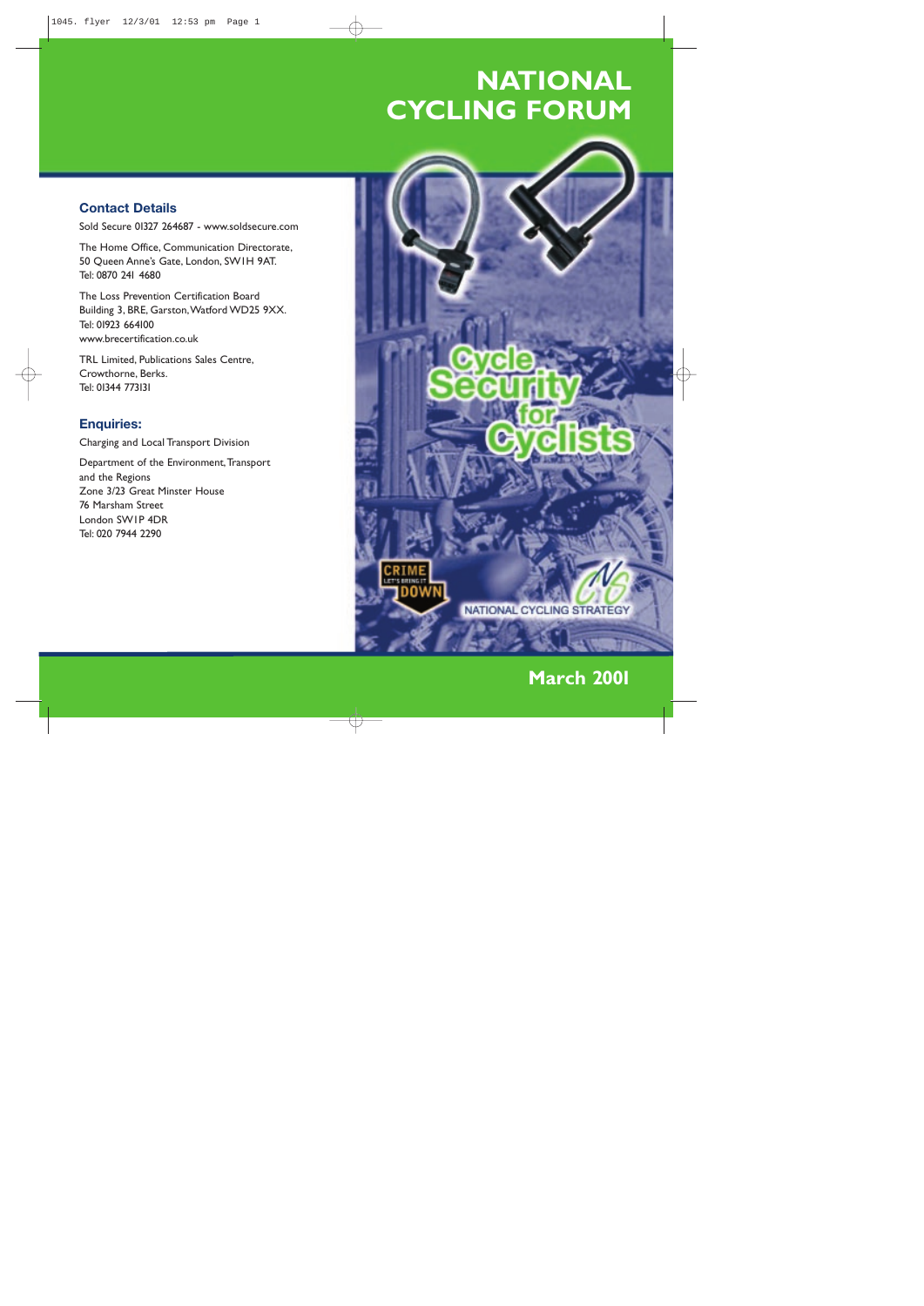# **NATIONAL CYCLING FORUM**

# **Contact Details**

Sold Secure 01327 264687 - www.soldsecure.com

The Home Office, Communication Directorate, 50 Queen Anne's Gate, London, SW1H 9AT. Tel: 0870 241 4680

The Loss Prevention Certification Board Building 3, BRE, Garston,Watford WD25 9XX. Tel: 01923 664100 www.brecertification.co.uk

Department of the Environment, Transport and the Regions Zone 3/23 Great Minster House 76 Marsham Street London SW1P 4DR Tel: 020 7944 2290



TRL Limited, Publications Sales Centre, Crowthorne, Berks. Tel: 01344 773131

## **Enquiries:**

Charging and Local Transport Division

**March 2001**

 $\forall$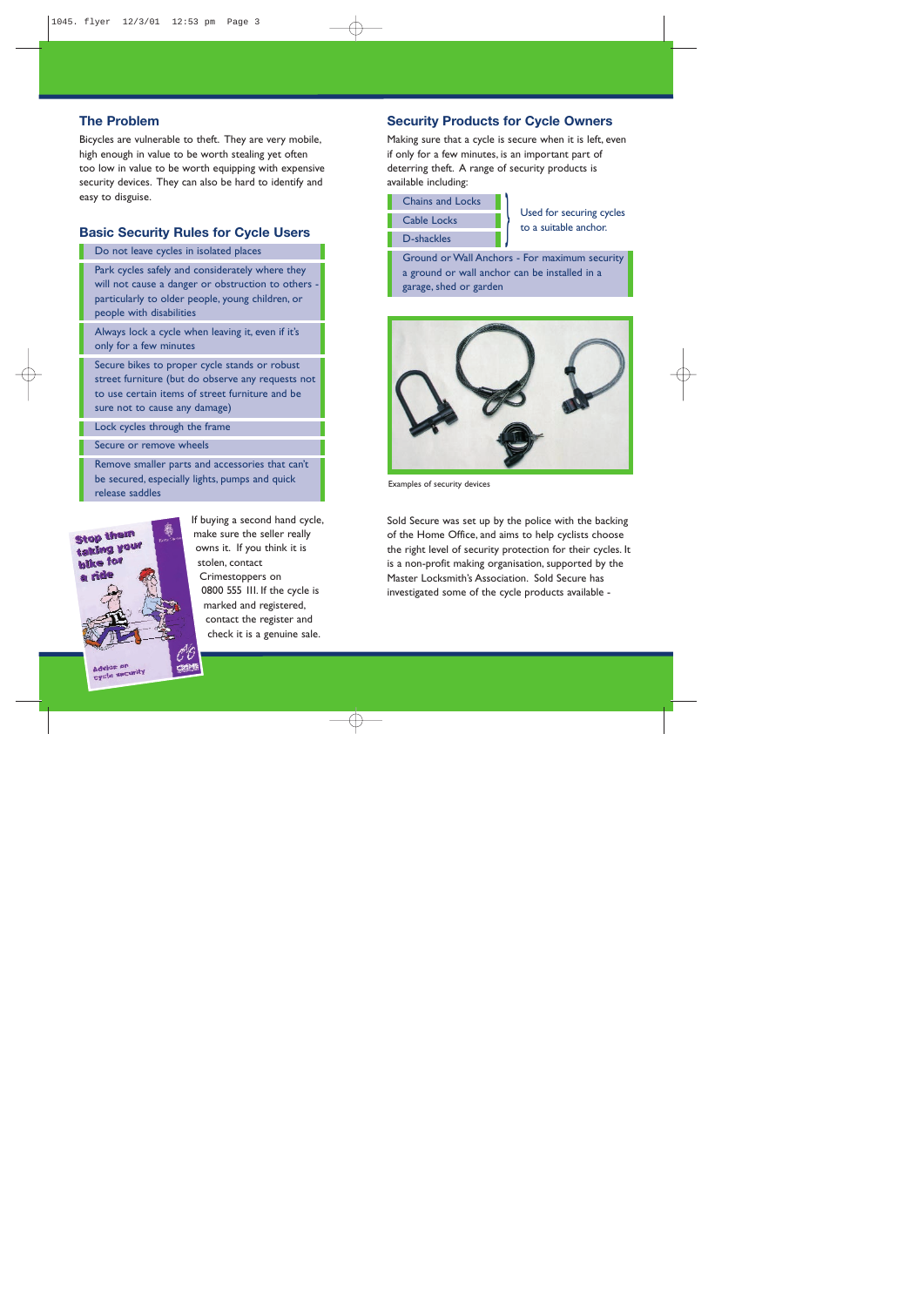**Security Products for Cycle Owners**

Making sure that a cycle is secure when it is left, even if only for a few minutes, is an important part of deterring theft. A range of security products is available including:



Used for securing cycles to a suitable anchor.

Ground or Wall Anchors - For maximum security a ground or wall anchor can be installed in a garage, shed or garden

Sold Secure was set up by the police with the backing of the Home Office, and aims to help cyclists choose the right level of security protection for their cycles. It is a non-profit making organisation, supported by the Master Locksmith's Association. Sold Secure has investigated some of the cycle products available -

## **The Problem**

Bicycles are vulnerable to theft. They are very mobile, high enough in value to be worth stealing yet often too low in value to be worth equipping with expensive security devices. They can also be hard to identify and easy to disguise.

### **Basic Security Rules for Cycle Users**

Do not leave cycles in isolated places

Park cycles safely and considerately where they will not cause a danger or obstruction to others particularly to older people, young children, or people with disabilities

Always lock a cycle when leaving it, even if it's only for a few minutes

Secure bikes to proper cycle stands or robust street furniture (but do observe any requests not to use certain items of street furniture and be sure not to cause any damage)

Lock cycles through the frame

Secure or remove wheels

Remove smaller parts and accessories that can't be secured, especially lights, pumps and quick release saddles



If buying a second hand cycle, make sure the seller really owns it. If you think it is stolen, contact Crimestoppers on 0800 555 111. If the cycle is marked and registered,

contact the register and check it is a genuine sale.



Examples of security devices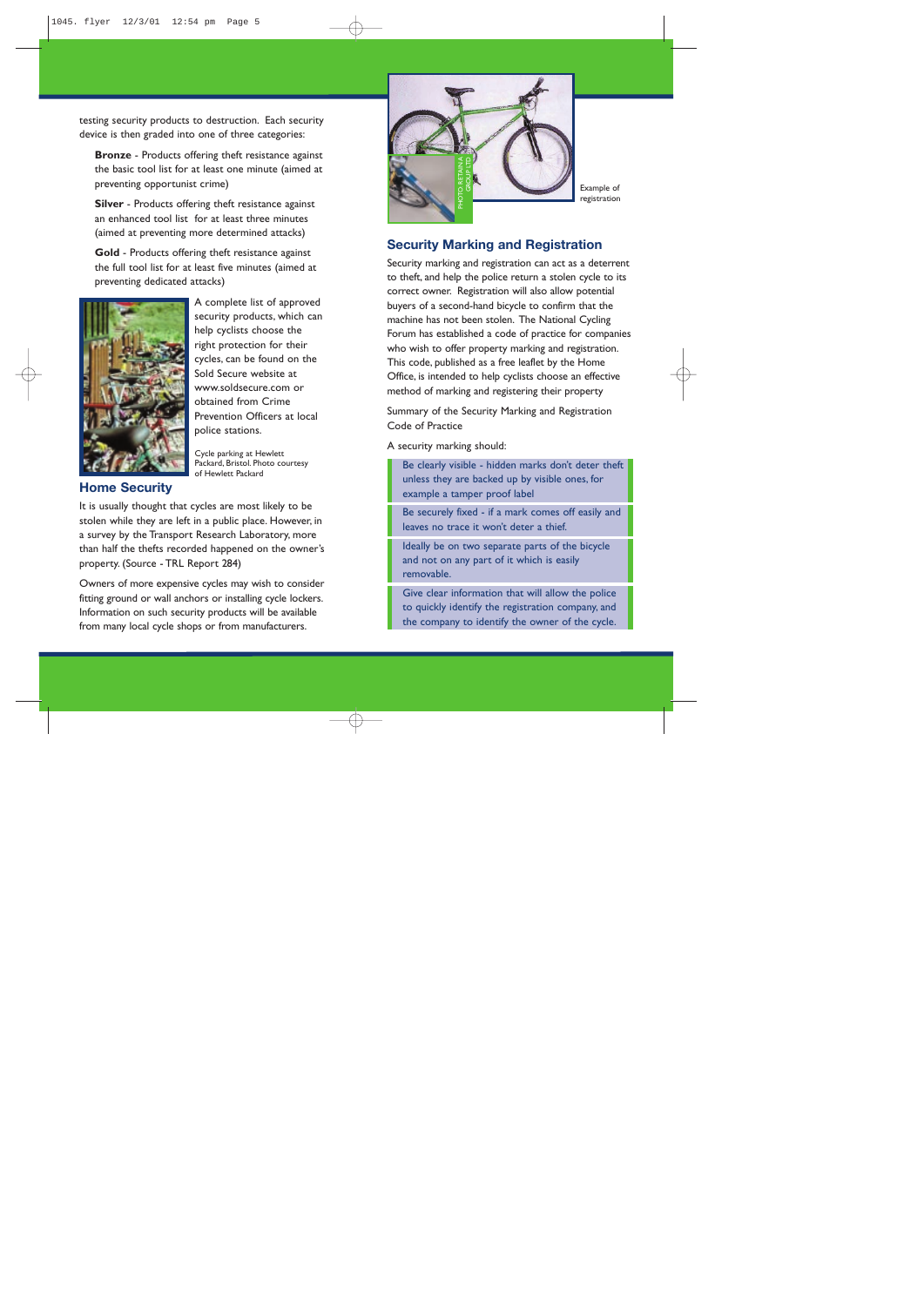### **Security Marking and Registration**

Security marking and registration can act as a deterrent to theft, and help the police return a stolen cycle to its correct owner. Registration will also allow potential buyers of a second-hand bicycle to confirm that the machine has not been stolen. The National Cycling Forum has established a code of practice for companies who wish to offer property marking and registration. This code, published as a free leaflet by the Home Office, is intended to help cyclists choose an effective method of marking and registering their property

Summary of the Security Marking and Registration Code of Practice

A security marking should:

Be clearly visible - hidden marks don't deter theft unless they are backed up by visible ones, for example a tamper proof label

Be securely fixed - if a mark comes off easily and leaves no trace it won't deter a thief.

Ideally be on two separate parts of the bicycle and not on any part of it which is easily removable.

Give clear information that will allow the police to quickly identify the registration company, and the company to identify the owner of the cycle.

testing security products to destruction. Each security device is then graded into one of three categories:

**Bronze** - Products offering theft resistance against the basic tool list for at least one minute (aimed at preventing opportunist crime)

**Silver** - Products offering theft resistance against an enhanced tool list for at least three minutes (aimed at preventing more determined attacks)

**Gold** - Products offering theft resistance against the full tool list for at least five minutes (aimed at preventing dedicated attacks)



A complete list of approved security products, which can help cyclists choose the right protection for their cycles, can be found on the Sold Secure website at www.soldsecure.com or obtained from Crime Prevention Officers at local police stations.

#### **Home Security**

It is usually thought that cycles are most likely to be stolen while they are left in a public place. However, in a survey by the Transport Research Laboratory, more than half the thefts recorded happened on the owner's property. (Source - TRL Report 284)

Owners of more expensive cycles may wish to consider fitting ground or wall anchors or installing cycle lockers. Information on such security products will be available from many local cycle shops or from manufacturers.

Cycle parking at Hewlett Packard, Bristol. Photo courtesy of Hewlett Packard

Example of registration